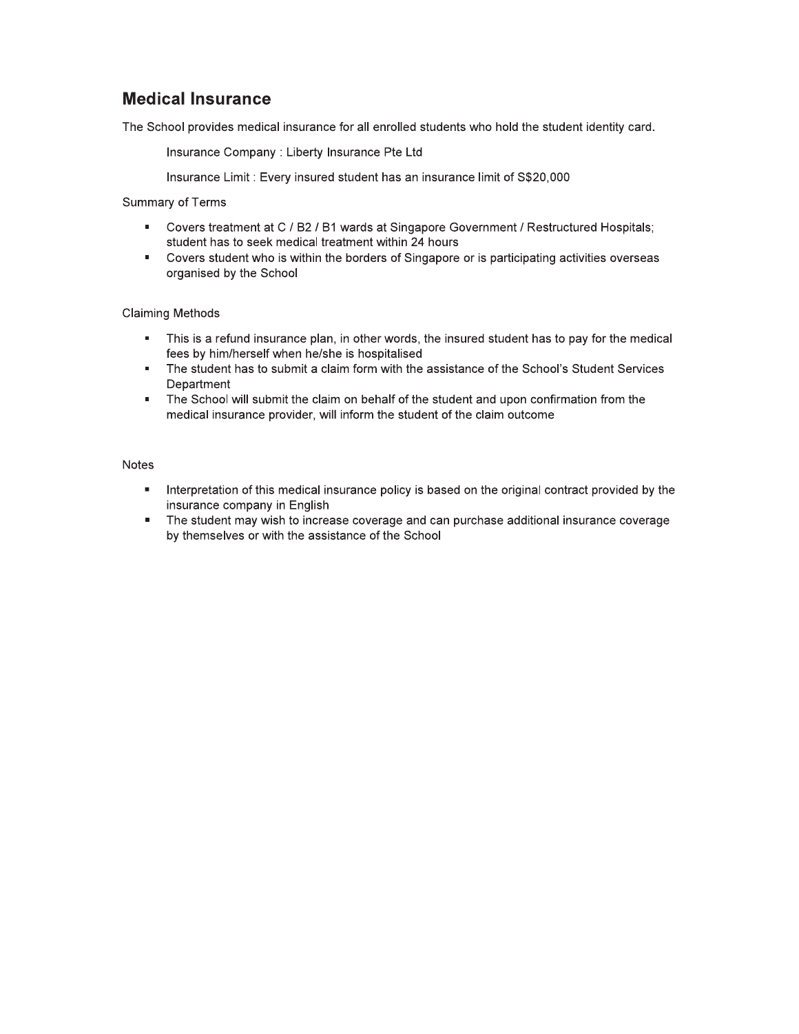#### **Medical Insurance**

The School provides medical insurance for all enrolled students who hold the student identity card.

Insurance Company : Liberty Insurance Pte Ltd

Insurance Limit: Every insured student has an insurance limit of S\$20,000

Summary of Terms

- Covers treatment at C / B2 / B1 wards at Singapore Government / Restructured Hospitals; **Burning** student has to seek medical treatment within 24 hours
- Covers student who is within the borders of Singapore or is participating activities overseas  $\mathbf{u}$  . organised by the School

#### **Claiming Methods**

- $\blacksquare$ This is a refund insurance plan, in other words, the insured student has to pay for the medical fees by him/herself when he/she is hospitalised
- The student has to submit a claim form with the assistance of the School's Student Services Department
- The School will submit the claim on behalf of the student and upon confirmation from the  $\mathbf{u} = \mathbf{0}$ medical insurance provider, will inform the student of the claim outcome

#### **Notes**

- Interpretation of this medical insurance policy is based on the original contract provided by the a. insurance company in English
- The student may wish to increase coverage and can purchase additional insurance coverage  $\mathbf{u} = \mathbf{u}$ by themselves or with the assistance of the School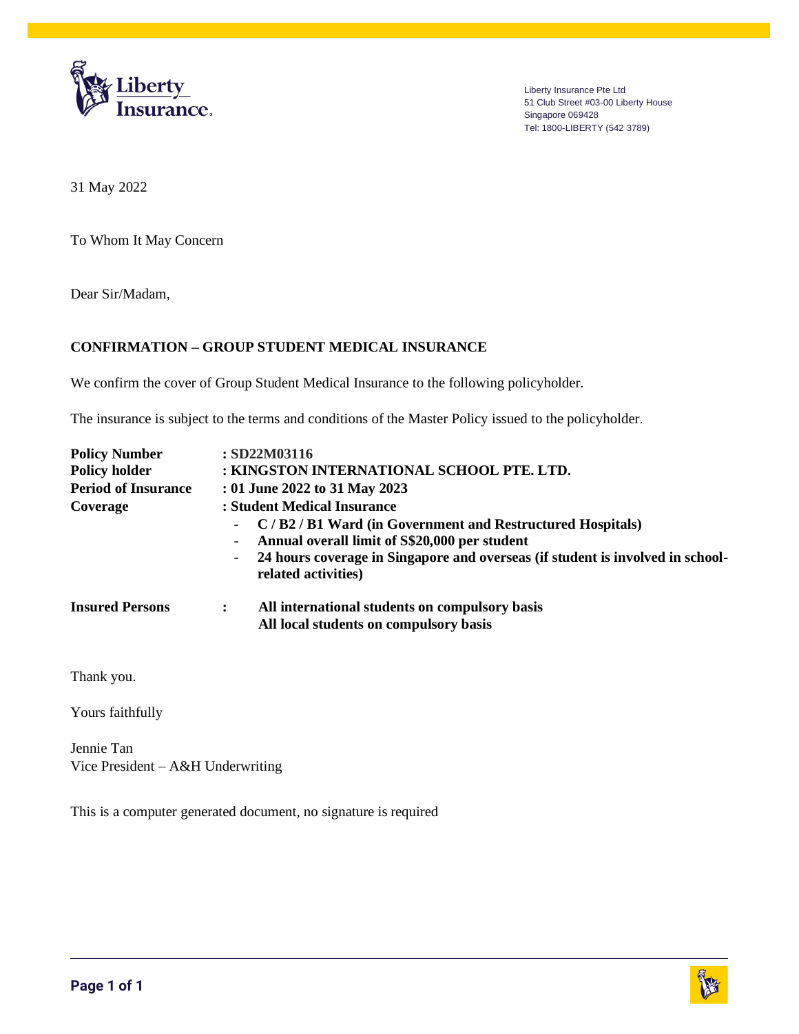

Liberty Insurance Pte Ltd 51 Club Street #03-00 Liberty House Singapore 069428 Tel: 1800-LIBERTY (542 3789)

31 May 2022

To Whom It May Concern

Dear Sir/Madam,

#### **CONFIRMATION – GROUP STUDENT MEDICAL INSURANCE**

We confirm the cover of Group Student Medical Insurance to the following policyholder.

The insurance is subject to the terms and conditions of the Master Policy issued to the policyholder.

| <b>Policy Number</b>       | : SD22M03116                                                                                          |
|----------------------------|-------------------------------------------------------------------------------------------------------|
| <b>Policy holder</b>       | : KINGSTON INTERNATIONAL SCHOOL PTE. LTD.                                                             |
| <b>Period of Insurance</b> | : 01 June 2022 to 31 May 2023                                                                         |
| Coverage                   | : Student Medical Insurance                                                                           |
|                            | C/B2/B1 Ward (in Government and Restructured Hospitals)<br>$\sim$                                     |
|                            | Annual overall limit of S\$20,000 per student                                                         |
|                            | 24 hours coverage in Singapore and overseas (if student is involved in school-<br>related activities) |
| <b>Insured Persons</b>     | All international students on compulsory basis<br>$\ddot{\cdot}$                                      |
|                            | All local students on compulsory basis                                                                |
| Thank you.                 |                                                                                                       |

Yours faithfully

Jennie Tan Vice President – A&H Underwriting

This is a computer generated document, no signature is required